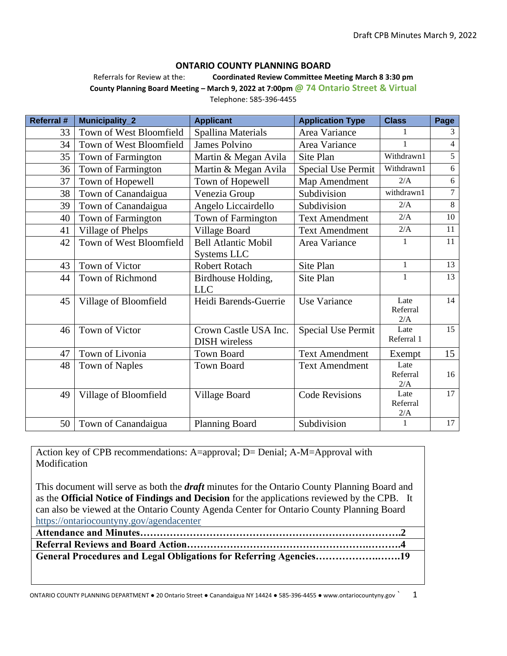## **ONTARIO COUNTY PLANNING BOARD**

Referrals for Review at the: **Coordinated Review Committee Meeting March 8 3:30 pm**

**County Planning Board Meeting – March 9, 2022 at 7:00pm @ 74 Ontario Street & Virtual** Telephone: 585-396-4455

| Referral #      | <b>Municipality_2</b>   | <b>Applicant</b>           | <b>Application Type</b>   | <b>Class</b>     | Page           |
|-----------------|-------------------------|----------------------------|---------------------------|------------------|----------------|
| 33              | Town of West Bloomfield | Spallina Materials         | Area Variance             |                  | 3              |
| 34              | Town of West Bloomfield | <b>James Polvino</b>       | Area Variance             | 1                | 4              |
| 35              | Town of Farmington      | Martin & Megan Avila       | Site Plan                 | Withdrawn1       | $\overline{5}$ |
| 36              | Town of Farmington      | Martin & Megan Avila       | <b>Special Use Permit</b> | Withdrawn1       | 6              |
| 37              | Town of Hopewell        | Town of Hopewell           | Map Amendment             | 2/A              | 6              |
| 38              | Town of Canandaigua     | Venezia Group              | Subdivision               | withdrawn1       | $\overline{7}$ |
| 39              | Town of Canandaigua     | Angelo Liccairdello        | Subdivision               | 2/A              | $8\,$          |
| 40              | Town of Farmington      | Town of Farmington         | <b>Text Amendment</b>     | 2/A              | 10             |
| 41              | Village of Phelps       | Village Board              | <b>Text Amendment</b>     | 2/A              | 11             |
| 42              | Town of West Bloomfield | <b>Bell Atlantic Mobil</b> | Area Variance             | 1                | 11             |
|                 |                         | Systems LLC                |                           |                  |                |
| 43              | Town of Victor          | Robert Rotach              | Site Plan                 | $\mathbf{1}$     | 13             |
| 44              | Town of Richmond        | Birdhouse Holding,         | Site Plan                 | 1                | 13             |
|                 |                         | <b>LLC</b>                 |                           |                  |                |
| 45              | Village of Bloomfield   | Heidi Barends-Guerrie      | <b>Use Variance</b>       | Late<br>Referral | 14             |
|                 |                         |                            |                           | 2/A              |                |
| 46              | Town of Victor          | Crown Castle USA Inc.      | <b>Special Use Permit</b> | Late             | 15             |
|                 |                         | <b>DISH</b> wireless       |                           | Referral 1       |                |
| 47              | Town of Livonia         | <b>Town Board</b>          | <b>Text Amendment</b>     | Exempt           | 15             |
| 48              | Town of Naples          | <b>Town Board</b>          | <b>Text Amendment</b>     | Late             |                |
|                 |                         |                            |                           | Referral         | 16             |
|                 |                         |                            | <b>Code Revisions</b>     | 2/A<br>Late      | 17             |
| 49              | Village of Bloomfield   | Village Board              |                           | Referral         |                |
|                 |                         |                            |                           | 2/A              |                |
| 50 <sup>1</sup> | Town of Canandaigua     | <b>Planning Board</b>      | Subdivision               | 1                | 17             |

Action key of CPB recommendations: A=approval; D= Denial; A-M=Approval with Modification

This document will serve as both the *draft* minutes for the Ontario County Planning Board and as the **Official Notice of Findings and Decision** for the applications reviewed by the CPB. It can also be viewed at the Ontario County Agenda Center for Ontario County Planning Board <https://ontariocountyny.gov/agendacenter>

| General Procedures and Legal Obligations for Referring Agencies19 |  |
|-------------------------------------------------------------------|--|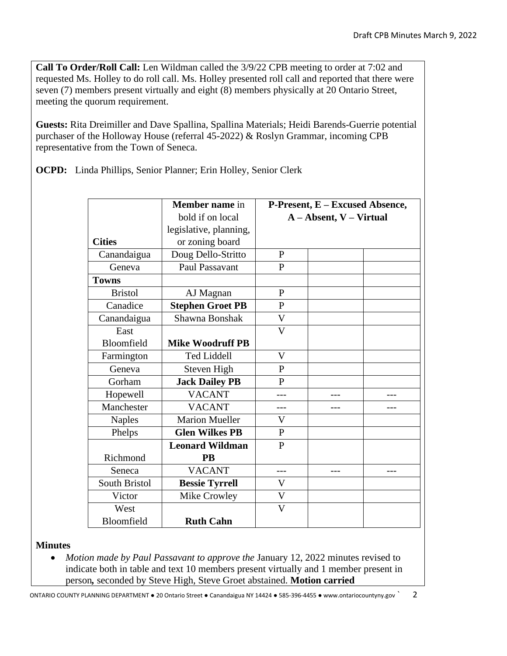**Call To Order/Roll Call:** Len Wildman called the 3/9/22 CPB meeting to order at 7:02 and requested Ms. Holley to do roll call. Ms. Holley presented roll call and reported that there were seven (7) members present virtually and eight (8) members physically at 20 Ontario Street, meeting the quorum requirement.

**Guests:** Rita Dreimiller and Dave Spallina, Spallina Materials; Heidi Barends-Guerrie potential purchaser of the Holloway House (referral 45-2022) & Roslyn Grammar, incoming CPB representative from the Town of Seneca.

**OCPD:** Linda Phillips, Senior Planner; Erin Holley, Senior Clerk

|                | Member name in          | P-Present, E – Excused Absence, |     |     |
|----------------|-------------------------|---------------------------------|-----|-----|
|                | bold if on local        | A – Absent, V – Virtual         |     |     |
|                | legislative, planning,  |                                 |     |     |
| <b>Cities</b>  | or zoning board         |                                 |     |     |
| Canandaigua    | Doug Dello-Stritto      | $\mathbf{P}$                    |     |     |
| Geneva         | Paul Passavant          | $\mathbf{P}$                    |     |     |
| <b>Towns</b>   |                         |                                 |     |     |
| <b>Bristol</b> | AJ Magnan               | $\mathbf{P}$                    |     |     |
| Canadice       | <b>Stephen Groet PB</b> | $\mathbf{P}$                    |     |     |
| Canandaigua    | Shawna Bonshak          | $\overline{\mathsf{V}}$         |     |     |
| East           |                         | $\overline{V}$                  |     |     |
| Bloomfield     | <b>Mike Woodruff PB</b> |                                 |     |     |
| Farmington     | <b>Ted Liddell</b>      | $\mathbf V$                     |     |     |
| Geneva         | Steven High             | P                               |     |     |
| Gorham         | <b>Jack Dailey PB</b>   | P                               |     |     |
| Hopewell       | <b>VACANT</b>           |                                 |     |     |
| Manchester     | <b>VACANT</b>           |                                 |     |     |
| <b>Naples</b>  | <b>Marion Mueller</b>   | V                               |     |     |
| Phelps         | <b>Glen Wilkes PB</b>   | $\mathbf{P}$                    |     |     |
|                | <b>Leonard Wildman</b>  | $\mathbf{P}$                    |     |     |
| Richmond       | <b>PB</b>               |                                 |     |     |
| Seneca         | <b>VACANT</b>           |                                 | --- | --- |
| South Bristol  | <b>Bessie Tyrrell</b>   | V                               |     |     |
| Victor         | Mike Crowley            | $\mathbf V$                     |     |     |
| West           |                         | $\overline{\mathsf{V}}$         |     |     |
| Bloomfield     | <b>Ruth Cahn</b>        |                                 |     |     |

# **Minutes**

• *Motion made by Paul Passavant to approve the January 12, 2022 minutes revised to* indicate both in table and text 10 members present virtually and 1 member present in person*,* seconded by Steve High, Steve Groet abstained. **Motion carried**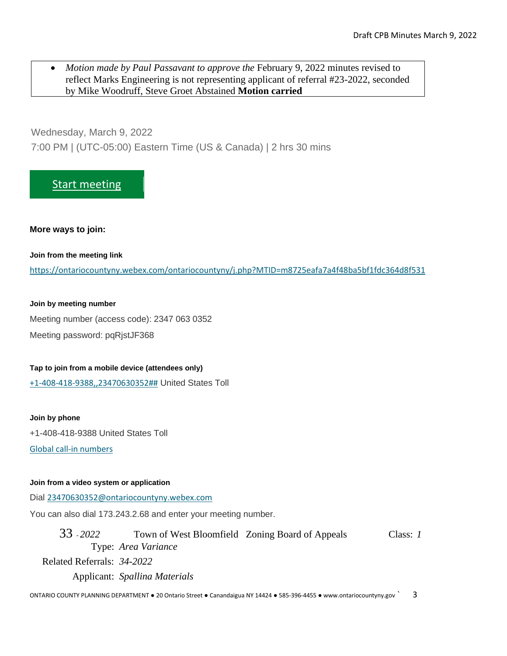• *Motion made by Paul Passavant to approve the* February 9, 2022 minutes revised to reflect Marks Engineering is not representing applicant of referral #23-2022, seconded by Mike Woodruff, Steve Groet Abstained **Motion carried**

Wednesday, March 9, 2022 7:00 PM | (UTC-05:00) Eastern Time (US & Canada) | 2 hrs 30 mins

# [Start meeting](https://ontariocountyny.webex.com/ontariocountyny/j.php?MTID=m8725eafa7a4f48ba5bf1fdc364d8f531)

## **More ways to join:**

**Join from the meeting link**

<https://ontariocountyny.webex.com/ontariocountyny/j.php?MTID=m8725eafa7a4f48ba5bf1fdc364d8f531>

## **Join by meeting number**

Meeting number (access code): 2347 063 0352 Meeting password: pqRjstJF368

## **Tap to join from a mobile device (attendees only)**

[+1-408-418-9388,,23470630352##](tel:%2B1-408-418-9388,,*01*23470630352%23%23*01*) United States Toll

**Join by phone** +1-408-418-9388 United States Toll

[Global call-in numbers](https://ontariocountyny.webex.com/ontariocountyny/globalcallin.php?MTID=m29c6bfad7041bdf8ccdc872e8ac895fe)

## **Join from a video system or application**

Dial [23470630352@ontariocountyny.webex.com](%20sip:23470630352@ontariocountyny.webex.com)

You can also dial 173.243.2.68 and enter your meeting number.

33 - *2022* Town of West Bloomfield Zoning Board of Appeals Class: *1* Type: *Area Variance* Related Referrals: *34-2022* Applicant: *Spallina Materials*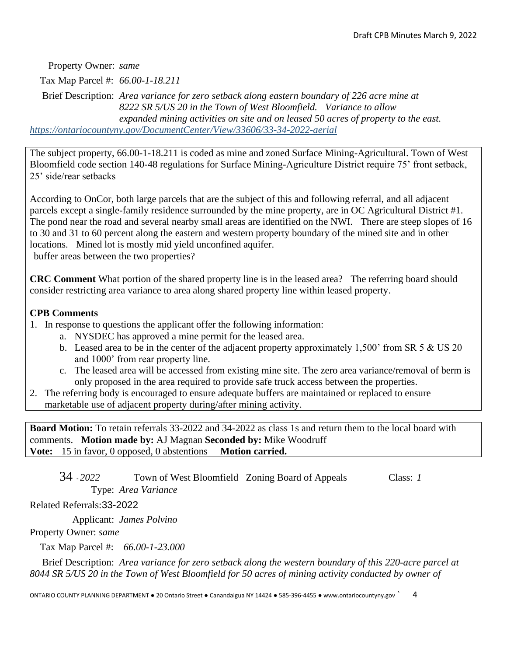Property Owner: *same*

Tax Map Parcel #: *66.00-1-18.211*

Brief Description: *Area variance for zero setback along eastern boundary of 226 acre mine at 8222 SR 5/US 20 in the Town of West Bloomfield. Variance to allow expanded mining activities on site and on leased 50 acres of property to the east. <https://ontariocountyny.gov/DocumentCenter/View/33606/33-34-2022-aerial>*

The subject property, 66.00-1-18.211 is coded as mine and zoned Surface Mining-Agricultural. Town of West Bloomfield code section 140-48 regulations for Surface Mining-Agriculture District require 75' front setback, 25' side/rear setbacks

According to OnCor, both large parcels that are the subject of this and following referral, and all adjacent parcels except a single-family residence surrounded by the mine property, are in OC Agricultural District #1. The pond near the road and several nearby small areas are identified on the NWI. There are steep slopes of 16 to 30 and 31 to 60 percent along the eastern and western property boundary of the mined site and in other locations. Mined lot is mostly mid yield unconfined aquifer. buffer areas between the two properties?

**CRC Comment** What portion of the shared property line is in the leased area? The referring board should consider restricting area variance to area along shared property line within leased property.

# **CPB Comments**

- 1. In response to questions the applicant offer the following information:
	- a. NYSDEC has approved a mine permit for the leased area.
	- b. Leased area to be in the center of the adjacent property approximately 1,500' from SR 5 & US 20 and 1000' from rear property line.
	- c. The leased area will be accessed from existing mine site. The zero area variance/removal of berm is only proposed in the area required to provide safe truck access between the properties.
- 2. The referring body is encouraged to ensure adequate buffers are maintained or replaced to ensure marketable use of adjacent property during/after mining activity.

**Board Motion:** To retain referrals 33-2022 and 34-2022 as class 1s and return them to the local board with comments. **Motion made by:** AJ Magnan **Seconded by:** Mike Woodruff **Vote:** 15 in favor, 0 opposed, 0 abstentions **Motion carried.**

34 - *2022* Town of West Bloomfield Zoning Board of Appeals Class: *1* Type: *Area Variance*

Related Referrals:33-2022

Applicant: *James Polvino*

Property Owner: *same*

Tax Map Parcel #: *66.00-1-23.000*

Brief Description: *Area variance for zero setback along the western boundary of this 220-acre parcel at 8044 SR 5/US 20 in the Town of West Bloomfield for 50 acres of mining activity conducted by owner of*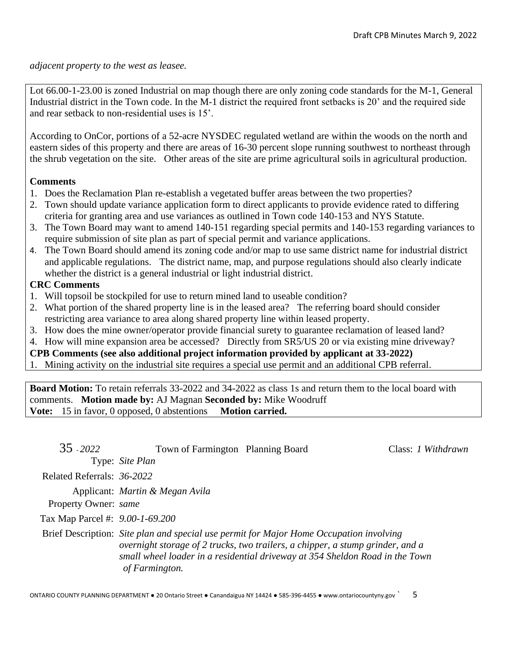*adjacent property to the west as leasee.* 

Lot 66.00-1-23.00 is zoned Industrial on map though there are only zoning code standards for the M-1, General Industrial district in the Town code. In the M-1 district the required front setbacks is 20' and the required side and rear setback to non-residential uses is 15'.

According to OnCor, portions of a 52-acre NYSDEC regulated wetland are within the woods on the north and eastern sides of this property and there are areas of 16-30 percent slope running southwest to northeast through the shrub vegetation on the site. Other areas of the site are prime agricultural soils in agricultural production.

# **Comments**

- 1. Does the Reclamation Plan re-establish a vegetated buffer areas between the two properties?
- 2. Town should update variance application form to direct applicants to provide evidence rated to differing criteria for granting area and use variances as outlined in Town code 140-153 and NYS Statute.
- 3. The Town Board may want to amend 140-151 regarding special permits and 140-153 regarding variances to require submission of site plan as part of special permit and variance applications.
- 4. The Town Board should amend its zoning code and/or map to use same district name for industrial district and applicable regulations. The district name, map, and purpose regulations should also clearly indicate whether the district is a general industrial or light industrial district.

# **CRC Comments**

- 1. Will topsoil be stockpiled for use to return mined land to useable condition?
- 2. What portion of the shared property line is in the leased area? The referring board should consider restricting area variance to area along shared property line within leased property.
- 3. How does the mine owner/operator provide financial surety to guarantee reclamation of leased land?
- 4. How will mine expansion area be accessed? Directly from SR5/US 20 or via existing mine driveway?

**CPB Comments (see also additional project information provided by applicant at 33-2022)**

1. Mining activity on the industrial site requires a special use permit and an additional CPB referral.

**Board Motion:** To retain referrals 33-2022 and 34-2022 as class 1s and return them to the local board with comments. **Motion made by:** AJ Magnan **Seconded by:** Mike Woodruff **Vote:** 15 in favor, 0 opposed, 0 abstentions **Motion carried.**

| $35 - 2022$                     | Town of Farmington Planning Board |                                                                                                                                                                                                                                                           | Class: 1 Withdrawn |
|---------------------------------|-----------------------------------|-----------------------------------------------------------------------------------------------------------------------------------------------------------------------------------------------------------------------------------------------------------|--------------------|
|                                 | Type: Site Plan                   |                                                                                                                                                                                                                                                           |                    |
| Related Referrals: 36-2022      |                                   |                                                                                                                                                                                                                                                           |                    |
| Property Owner: same            | Applicant: Martin & Megan Avila   |                                                                                                                                                                                                                                                           |                    |
| Tax Map Parcel #: 9.00-1-69.200 |                                   |                                                                                                                                                                                                                                                           |                    |
|                                 | of Farmington.                    | Brief Description: Site plan and special use permit for Major Home Occupation involving<br>overnight storage of 2 trucks, two trailers, a chipper, a stump grinder, and a<br>small wheel loader in a residential driveway at 354 Sheldon Road in the Town |                    |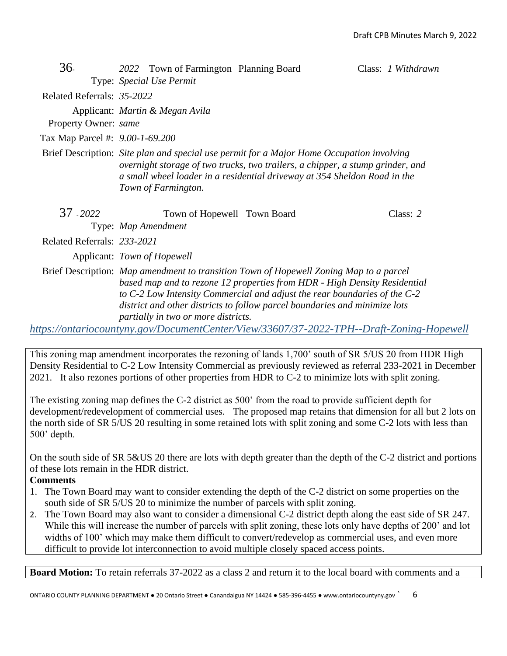| 36.                             | 2022 Town of Farmington Planning Board |                                                                                                                                                                                                                                                                                                                                | Class: 1 Withdrawn |  |  |  |
|---------------------------------|----------------------------------------|--------------------------------------------------------------------------------------------------------------------------------------------------------------------------------------------------------------------------------------------------------------------------------------------------------------------------------|--------------------|--|--|--|
|                                 | Type: Special Use Permit               |                                                                                                                                                                                                                                                                                                                                |                    |  |  |  |
| Related Referrals: 35-2022      |                                        |                                                                                                                                                                                                                                                                                                                                |                    |  |  |  |
|                                 | Applicant: Martin & Megan Avila        |                                                                                                                                                                                                                                                                                                                                |                    |  |  |  |
| Property Owner: same            |                                        |                                                                                                                                                                                                                                                                                                                                |                    |  |  |  |
| Tax Map Parcel #: 9.00-1-69.200 |                                        |                                                                                                                                                                                                                                                                                                                                |                    |  |  |  |
|                                 | Town of Farmington.                    | Brief Description: Site plan and special use permit for a Major Home Occupation involving<br>overnight storage of two trucks, two trailers, a chipper, a stump grinder, and<br>a small wheel loader in a residential driveway at 354 Sheldon Road in the                                                                       |                    |  |  |  |
| 37 - 2022                       | Town of Hopewell Town Board            |                                                                                                                                                                                                                                                                                                                                | Class: $2$         |  |  |  |
|                                 | Type: Map Amendment                    |                                                                                                                                                                                                                                                                                                                                |                    |  |  |  |
| Related Referrals: 233-2021     |                                        |                                                                                                                                                                                                                                                                                                                                |                    |  |  |  |
|                                 | Applicant: Town of Hopewell            |                                                                                                                                                                                                                                                                                                                                |                    |  |  |  |
|                                 | partially in two or more districts.    | Brief Description: Map amendment to transition Town of Hopewell Zoning Map to a parcel<br>based map and to rezone 12 properties from HDR - High Density Residential<br>to C-2 Low Intensity Commercial and adjust the rear boundaries of the C-2<br>district and other districts to follow parcel boundaries and minimize lots |                    |  |  |  |
|                                 |                                        | https://ontariocountyny.gov/DocumentCenter/View/33607/37-2022-TPH--Draft-Zoning-Hopewell                                                                                                                                                                                                                                       |                    |  |  |  |

This zoning map amendment incorporates the rezoning of lands 1,700' south of SR 5/US 20 from HDR High Density Residential to C-2 Low Intensity Commercial as previously reviewed as referral 233-2021 in December 2021. It also rezones portions of other properties from HDR to C-2 to minimize lots with split zoning.

The existing zoning map defines the C-2 district as 500' from the road to provide sufficient depth for development/redevelopment of commercial uses. The proposed map retains that dimension for all but 2 lots on the north side of SR 5/US 20 resulting in some retained lots with split zoning and some C-2 lots with less than 500' depth.

On the south side of SR 5&US 20 there are lots with depth greater than the depth of the C-2 district and portions of these lots remain in the HDR district.

# **Comments**

- 1. The Town Board may want to consider extending the depth of the C-2 district on some properties on the south side of SR 5/US 20 to minimize the number of parcels with split zoning.
- 2. The Town Board may also want to consider a dimensional C-2 district depth along the east side of SR 247. While this will increase the number of parcels with split zoning, these lots only have depths of 200' and lot widths of 100' which may make them difficult to convert/redevelop as commercial uses, and even more difficult to provide lot interconnection to avoid multiple closely spaced access points.

**Board Motion:** To retain referrals 37-2022 as a class 2 and return it to the local board with comments and a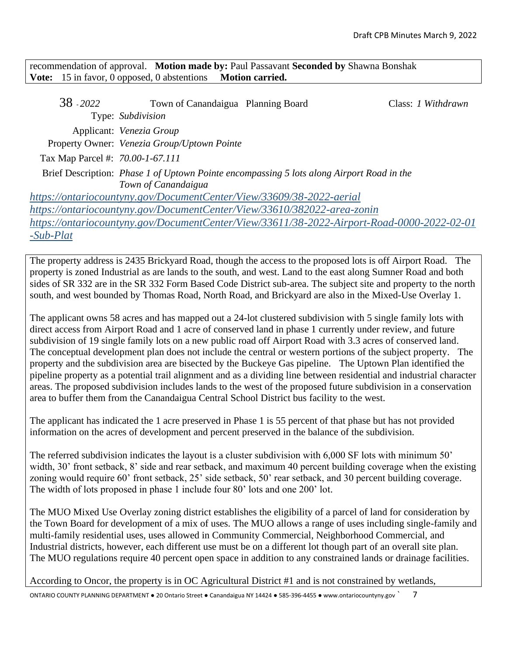recommendation of approval. **Motion made by:** Paul Passavant **Seconded by** Shawna Bonshak **Vote:** 15 in favor, 0 opposed, 0 abstentions **Motion carried.**

| 38 - 2022                        | Town of Canandaigua Planning Board                                   |                                                                                            | Class: 1 Withdrawn |
|----------------------------------|----------------------------------------------------------------------|--------------------------------------------------------------------------------------------|--------------------|
|                                  | Type: Subdivision                                                    |                                                                                            |                    |
|                                  | Applicant: Venezia Group                                             |                                                                                            |                    |
|                                  | Property Owner: Venezia Group/Uptown Pointe                          |                                                                                            |                    |
| Tax Map Parcel #: 70.00-1-67.111 |                                                                      |                                                                                            |                    |
|                                  |                                                                      | Brief Description: Phase 1 of Uptown Pointe encompassing 5 lots along Airport Road in the  |                    |
|                                  | Town of Canandaigua                                                  |                                                                                            |                    |
|                                  | https://ontariocountyny.gov/DocumentCenter/View/33609/38-2022-aerial |                                                                                            |                    |
|                                  |                                                                      | https://ontariocountyny.gov/DocumentCenter/View/33610/382022-area-zonin                    |                    |
|                                  |                                                                      | https://ontariocountyny.gov/DocumentCenter/View/33611/38-2022-Airport-Road-0000-2022-02-01 |                    |
| $-Sub-Plat$                      |                                                                      |                                                                                            |                    |

The property address is 2435 Brickyard Road, though the access to the proposed lots is off Airport Road. The property is zoned Industrial as are lands to the south, and west. Land to the east along Sumner Road and both sides of SR 332 are in the SR 332 Form Based Code District sub-area. The subject site and property to the north south, and west bounded by Thomas Road, North Road, and Brickyard are also in the Mixed-Use Overlay 1.

The applicant owns 58 acres and has mapped out a 24-lot clustered subdivision with 5 single family lots with direct access from Airport Road and 1 acre of conserved land in phase 1 currently under review, and future subdivision of 19 single family lots on a new public road off Airport Road with 3.3 acres of conserved land. The conceptual development plan does not include the central or western portions of the subject property. The property and the subdivision area are bisected by the Buckeye Gas pipeline. The Uptown Plan identified the pipeline property as a potential trail alignment and as a dividing line between residential and industrial character areas. The proposed subdivision includes lands to the west of the proposed future subdivision in a conservation area to buffer them from the Canandaigua Central School District bus facility to the west.

The applicant has indicated the 1 acre preserved in Phase 1 is 55 percent of that phase but has not provided information on the acres of development and percent preserved in the balance of the subdivision.

The referred subdivision indicates the layout is a cluster subdivision with 6,000 SF lots with minimum 50' width, 30' front setback, 8' side and rear setback, and maximum 40 percent building coverage when the existing zoning would require 60' front setback, 25' side setback, 50' rear setback, and 30 percent building coverage. The width of lots proposed in phase 1 include four 80' lots and one 200' lot.

The MUO Mixed Use Overlay zoning district establishes the eligibility of a parcel of land for consideration by the Town Board for development of a mix of uses. The MUO allows a range of uses including single-family and multi-family residential uses, uses allowed in Community Commercial, Neighborhood Commercial, and Industrial districts, however, each different use must be on a different lot though part of an overall site plan. The MUO regulations require 40 percent open space in addition to any constrained lands or drainage facilities.

According to Oncor, the property is in OC Agricultural District #1 and is not constrained by wetlands,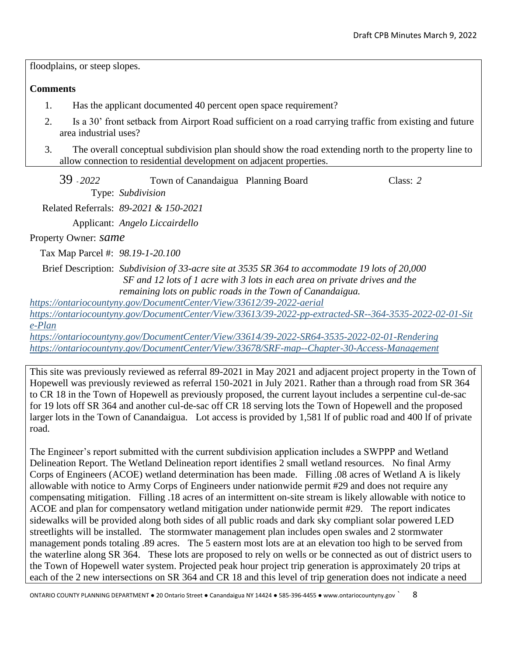floodplains, or steep slopes.

# **Comments**

- 1. Has the applicant documented 40 percent open space requirement?
- 2. Is a 30' front setback from Airport Road sufficient on a road carrying traffic from existing and future area industrial uses?
- 3. The overall conceptual subdivision plan should show the road extending north to the property line to allow connection to residential development on adjacent properties.

| 39 - 2022 | Town of Canandaigua Planning Board | Class: 2 |
|-----------|------------------------------------|----------|
|           | Type: Subdivision                  |          |

Related Referrals: *89-2021 & 150-2021*

Applicant: *Angelo Liccairdello*

Property Owner: *same*

Tax Map Parcel #: *98.19-1-20.100*

Brief Description: *Subdivision of 33-acre site at 3535 SR 364 to accommodate 19 lots of 20,000 SF and 12 lots of 1 acre with 3 lots in each area on private drives and the remaining lots on public roads in the Town of Canandaigua.*

*<https://ontariocountyny.gov/DocumentCenter/View/33612/39-2022-aerial>*

*[https://ontariocountyny.gov/DocumentCenter/View/33613/39-2022-pp-extracted-SR--364-3535-2022-02-01-Sit](https://ontariocountyny.gov/DocumentCenter/View/33613/39-2022-pp-extracted-SR--364-3535-2022-02-01-Site-Plan) [e-Plan](https://ontariocountyny.gov/DocumentCenter/View/33613/39-2022-pp-extracted-SR--364-3535-2022-02-01-Site-Plan)*

*<https://ontariocountyny.gov/DocumentCenter/View/33614/39-2022-SR64-3535-2022-02-01-Rendering> <https://ontariocountyny.gov/DocumentCenter/View/33678/SRF-map--Chapter-30-Access-Management>*

This site was previously reviewed as referral 89-2021 in May 2021 and adjacent project property in the Town of Hopewell was previously reviewed as referral 150-2021 in July 2021. Rather than a through road from SR 364 to CR 18 in the Town of Hopewell as previously proposed, the current layout includes a serpentine cul-de-sac for 19 lots off SR 364 and another cul-de-sac off CR 18 serving lots the Town of Hopewell and the proposed larger lots in the Town of Canandaigua. Lot access is provided by 1,581 lf of public road and 400 lf of private road.

The Engineer's report submitted with the current subdivision application includes a SWPPP and Wetland Delineation Report. The Wetland Delineation report identifies 2 small wetland resources. No final Army Corps of Engineers (ACOE) wetland determination has been made. Filling .08 acres of Wetland A is likely allowable with notice to Army Corps of Engineers under nationwide permit #29 and does not require any compensating mitigation. Filling .18 acres of an intermittent on-site stream is likely allowable with notice to ACOE and plan for compensatory wetland mitigation under nationwide permit #29. The report indicates sidewalks will be provided along both sides of all public roads and dark sky compliant solar powered LED streetlights will be installed. The stormwater management plan includes open swales and 2 stormwater management ponds totaling .89 acres. The 5 eastern most lots are at an elevation too high to be served from the waterline along SR 364. These lots are proposed to rely on wells or be connected as out of district users to the Town of Hopewell water system. Projected peak hour project trip generation is approximately 20 trips at each of the 2 new intersections on SR 364 and CR 18 and this level of trip generation does not indicate a need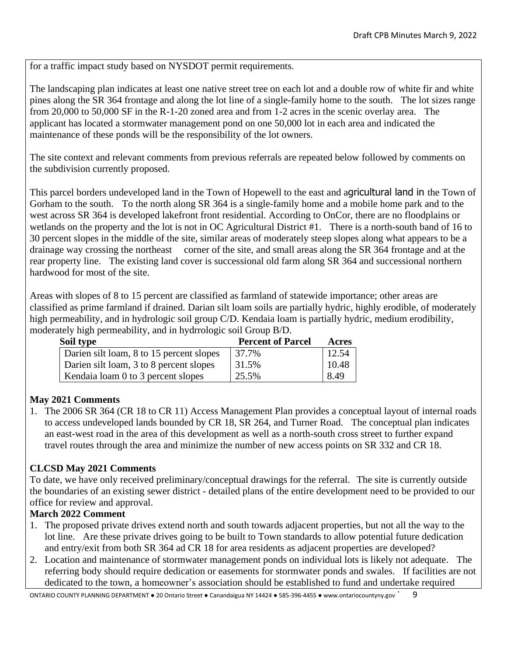for a traffic impact study based on NYSDOT permit requirements.

The landscaping plan indicates at least one native street tree on each lot and a double row of white fir and white pines along the SR 364 frontage and along the lot line of a single-family home to the south. The lot sizes range from 20,000 to 50,000 SF in the R-1-20 zoned area and from 1-2 acres in the scenic overlay area. The applicant has located a stormwater management pond on one 50,000 lot in each area and indicated the maintenance of these ponds will be the responsibility of the lot owners.

The site context and relevant comments from previous referrals are repeated below followed by comments on the subdivision currently proposed.

This parcel borders undeveloped land in the Town of Hopewell to the east and agricultural land in the Town of Gorham to the south. To the north along SR 364 is a single-family home and a mobile home park and to the west across SR 364 is developed lakefront front residential. According to OnCor, there are no floodplains or wetlands on the property and the lot is not in OC Agricultural District #1. There is a north-south band of 16 to 30 percent slopes in the middle of the site, similar areas of moderately steep slopes along what appears to be a drainage way crossing the northeast corner of the site, and small areas along the SR 364 frontage and at the rear property line. The existing land cover is successional old farm along SR 364 and successional northern hardwood for most of the site.

Areas with slopes of 8 to 15 percent are classified as farmland of statewide importance; other areas are classified as prime farmland if drained. Darian silt loam soils are partially hydric, highly erodible, of moderately high permeability, and in hydrologic soil group C/D. Kendaia loam is partially hydric, medium erodibility, moderately high permeability, and in hydrrologic soil Group B/D.

| Soil type                                | <b>Percent of Parcel</b> | Acres |
|------------------------------------------|--------------------------|-------|
| Darien silt loam, 8 to 15 percent slopes | 37.7%                    | 12.54 |
| Darien silt loam, 3 to 8 percent slopes  | 31.5%                    | 10.48 |
| Kendaia loam 0 to 3 percent slopes       | 25.5%                    | 8.49  |

# **May 2021 Comments**

1. The 2006 SR 364 (CR 18 to CR 11) Access Management Plan provides a conceptual layout of internal roads to access undeveloped lands bounded by CR 18, SR 264, and Turner Road. The conceptual plan indicates an east-west road in the area of this development as well as a north-south cross street to further expand travel routes through the area and minimize the number of new access points on SR 332 and CR 18.

# **CLCSD May 2021 Comments**

To date, we have only received preliminary/conceptual drawings for the referral. The site is currently outside the boundaries of an existing sewer district - detailed plans of the entire development need to be provided to our office for review and approval.

# **March 2022 Comment**

- 1. The proposed private drives extend north and south towards adjacent properties, but not all the way to the lot line. Are these private drives going to be built to Town standards to allow potential future dedication and entry/exit from both SR 364 ad CR 18 for area residents as adjacent properties are developed?
- 2. Location and maintenance of stormwater management ponds on individual lots is likely not adequate. The referring body should require dedication or easements for stormwater ponds and swales. If facilities are not dedicated to the town, a homeowner's association should be established to fund and undertake required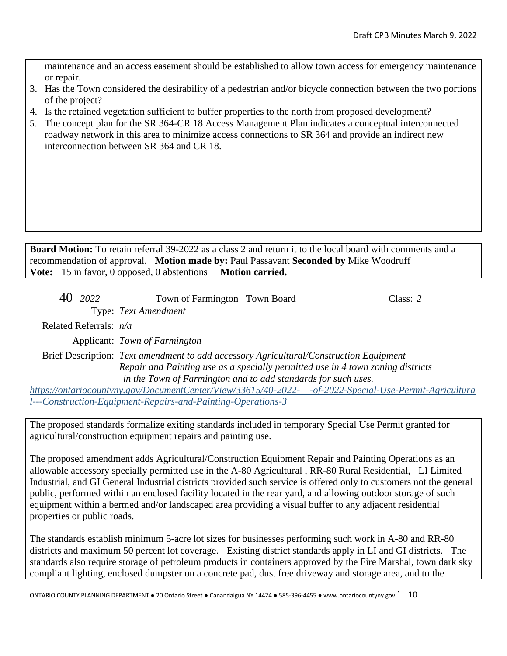maintenance and an access easement should be established to allow town access for emergency maintenance or repair.

- 3. Has the Town considered the desirability of a pedestrian and/or bicycle connection between the two portions of the project?
- 4. Is the retained vegetation sufficient to buffer properties to the north from proposed development?
- 5. The concept plan for the SR 364-CR 18 Access Management Plan indicates a conceptual interconnected roadway network in this area to minimize access connections to SR 364 and provide an indirect new interconnection between SR 364 and CR 18.

**Board Motion:** To retain referral 39-2022 as a class 2 and return it to the local board with comments and a recommendation of approval. **Motion made by:** Paul Passavant **Seconded by** Mike Woodruff **Vote:** 15 in favor, 0 opposed, 0 abstentions **Motion carried.**

| $40 - 2022$              | Town of Farmington Town Board                                                                           | Class: $2$ |
|--------------------------|---------------------------------------------------------------------------------------------------------|------------|
|                          | Type: Text Amendment                                                                                    |            |
| Related Referrals: $n/a$ |                                                                                                         |            |
|                          | Applicant: Town of Farmington                                                                           |            |
|                          | Brief Description: Text amendment to add accessory Agricultural/Construction Equipment                  |            |
|                          | Repair and Painting use as a specially permitted use in 4 town zoning districts                         |            |
|                          | in the Town of Farmington and to add standards for such uses.                                           |            |
|                          | https://ontariocountyny.gov/DocumentCenter/View/33615/40-2022-__-of-2022-Special-Use-Permit-Agricultura |            |

*[l---Construction-Equipment-Repairs-and-Painting-Operations-3](https://ontariocountyny.gov/DocumentCenter/View/33615/40-2022-__-of-2022-Special-Use-Permit-Agricultural---Construction-Equipment-Repairs-and-Painting-Operations-3)*

The proposed standards formalize exiting standards included in temporary Special Use Permit granted for agricultural/construction equipment repairs and painting use.

The proposed amendment adds Agricultural/Construction Equipment Repair and Painting Operations as an allowable accessory specially permitted use in the A-80 Agricultural , RR-80 Rural Residential, LI Limited Industrial, and GI General Industrial districts provided such service is offered only to customers not the general public, performed within an enclosed facility located in the rear yard, and allowing outdoor storage of such equipment within a bermed and/or landscaped area providing a visual buffer to any adjacent residential properties or public roads.

The standards establish minimum 5-acre lot sizes for businesses performing such work in A-80 and RR-80 districts and maximum 50 percent lot coverage. Existing district standards apply in LI and GI districts. The standards also require storage of petroleum products in containers approved by the Fire Marshal, town dark sky compliant lighting, enclosed dumpster on a concrete pad, dust free driveway and storage area, and to the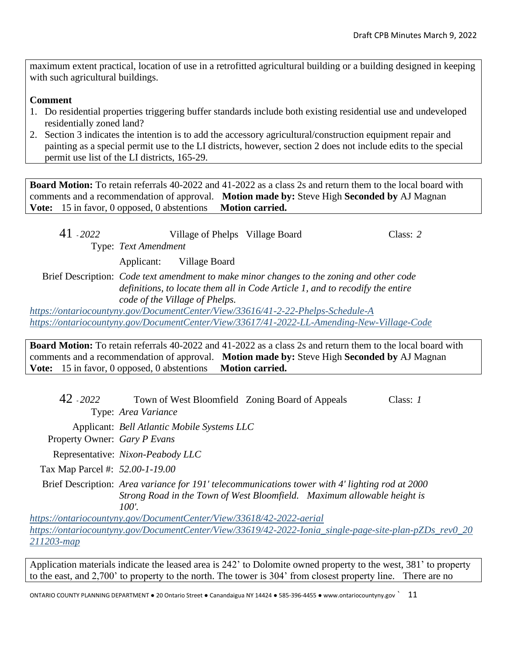maximum extent practical, location of use in a retrofitted agricultural building or a building designed in keeping with such agricultural buildings.

# **Comment**

- 1. Do residential properties triggering buffer standards include both existing residential use and undeveloped residentially zoned land?
- 2. Section 3 indicates the intention is to add the accessory agricultural/construction equipment repair and painting as a special permit use to the LI districts, however, section 2 does not include edits to the special permit use list of the LI districts, 165-29.

**Board Motion:** To retain referrals 40-2022 and 41-2022 as a class 2s and return them to the local board with comments and a recommendation of approval. **Motion made by:** Steve High **Seconded by** AJ Magnan **Vote:** 15 in favor, 0 opposed, 0 abstentions **Motion carried.**

41 - *2022* Village of Phelps Village Board Class: *2* Type: *Text Amendment* Applicant: Village Board

Brief Description: *Code text amendment to make minor changes to the zoning and other code definitions, to locate them all in Code Article 1, and to recodify the entire code of the Village of Phelps.*

*<https://ontariocountyny.gov/DocumentCenter/View/33616/41-2-22-Phelps-Schedule-A> <https://ontariocountyny.gov/DocumentCenter/View/33617/41-2022-LL-Amending-New-Village-Code>*

**Board Motion:** To retain referrals 40-2022 and 41-2022 as a class 2s and return them to the local board with comments and a recommendation of approval. **Motion made by:** Steve High **Seconded by** AJ Magnan **Vote:** 15 in favor, 0 opposed, 0 abstentions **Motion carried.**

42 - *2022* Town of West Bloomfield Zoning Board of Appeals Class: *1* Type: *Area Variance*

Applicant: *Bell Atlantic Mobile Systems LLC*

Property Owner: *Gary P Evans*

Representative: *Nixon-Peabody LLC*

Tax Map Parcel #: *52.00-1-19.00*

Brief Description: *Area variance for 191' telecommunications tower with 4' lighting rod at 2000 Strong Road in the Town of West Bloomfield. Maximum allowable height is 100'.*

*<https://ontariocountyny.gov/DocumentCenter/View/33618/42-2022-aerial> [https://ontariocountyny.gov/DocumentCenter/View/33619/42-2022-Ionia\\_single-page-site-plan-pZDs\\_rev0\\_20](https://ontariocountyny.gov/DocumentCenter/View/33619/42-2022-Ionia_single-page-site-plan-pZDs_rev0_20211203-map) [211203-map](https://ontariocountyny.gov/DocumentCenter/View/33619/42-2022-Ionia_single-page-site-plan-pZDs_rev0_20211203-map)*

Application materials indicate the leased area is 242' to Dolomite owned property to the west, 381' to property to the east, and 2,700' to property to the north. The tower is 304' from closest property line. There are no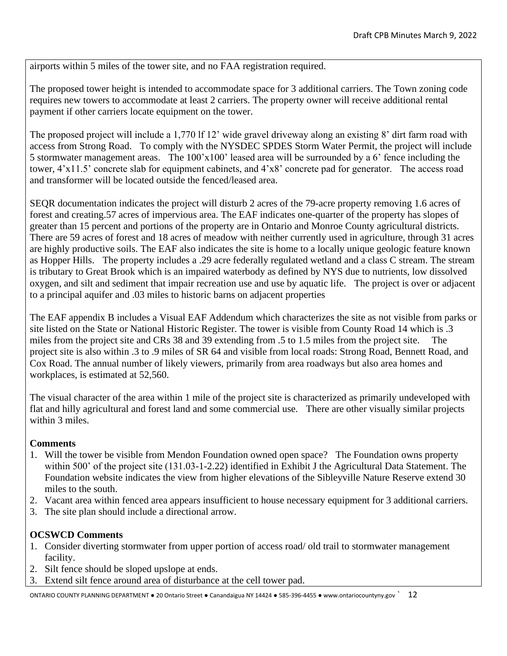airports within 5 miles of the tower site, and no FAA registration required.

The proposed tower height is intended to accommodate space for 3 additional carriers. The Town zoning code requires new towers to accommodate at least 2 carriers. The property owner will receive additional rental payment if other carriers locate equipment on the tower.

The proposed project will include a 1,770 lf 12' wide gravel driveway along an existing 8' dirt farm road with access from Strong Road. To comply with the NYSDEC SPDES Storm Water Permit, the project will include 5 stormwater management areas. The 100'x100' leased area will be surrounded by a 6' fence including the tower, 4'x11.5' concrete slab for equipment cabinets, and 4'x8' concrete pad for generator. The access road and transformer will be located outside the fenced/leased area.

SEQR documentation indicates the project will disturb 2 acres of the 79-acre property removing 1.6 acres of forest and creating.57 acres of impervious area. The EAF indicates one-quarter of the property has slopes of greater than 15 percent and portions of the property are in Ontario and Monroe County agricultural districts. There are 59 acres of forest and 18 acres of meadow with neither currently used in agriculture, through 31 acres are highly productive soils. The EAF also indicates the site is home to a locally unique geologic feature known as Hopper Hills. The property includes a .29 acre federally regulated wetland and a class C stream. The stream is tributary to Great Brook which is an impaired waterbody as defined by NYS due to nutrients, low dissolved oxygen, and silt and sediment that impair recreation use and use by aquatic life. The project is over or adjacent to a principal aquifer and .03 miles to historic barns on adjacent properties

The EAF appendix B includes a Visual EAF Addendum which characterizes the site as not visible from parks or site listed on the State or National Historic Register. The tower is visible from County Road 14 which is .3 miles from the project site and CRs 38 and 39 extending from .5 to 1.5 miles from the project site. The project site is also within .3 to .9 miles of SR 64 and visible from local roads: Strong Road, Bennett Road, and Cox Road. The annual number of likely viewers, primarily from area roadways but also area homes and workplaces, is estimated at 52,560.

The visual character of the area within 1 mile of the project site is characterized as primarily undeveloped with flat and hilly agricultural and forest land and some commercial use. There are other visually similar projects within 3 miles.

# **Comments**

- 1. Will the tower be visible from Mendon Foundation owned open space? The Foundation owns property within 500' of the project site (131.03-1-2.22) identified in Exhibit J the Agricultural Data Statement. The Foundation website indicates the view from higher elevations of the Sibleyville Nature Reserve extend 30 miles to the south.
- 2. Vacant area within fenced area appears insufficient to house necessary equipment for 3 additional carriers.
- 3. The site plan should include a directional arrow.

# **OCSWCD Comments**

- 1. Consider diverting stormwater from upper portion of access road/ old trail to stormwater management facility.
- 2. Silt fence should be sloped upslope at ends.
- 3. Extend silt fence around area of disturbance at the cell tower pad.

ONTARIO COUNTY PLANNING DEPARTMENT ● 20 Ontario Street ● Canandaigua NY 14424 ● 585-396-4455 ● www.ontariocountyny.gov ` 12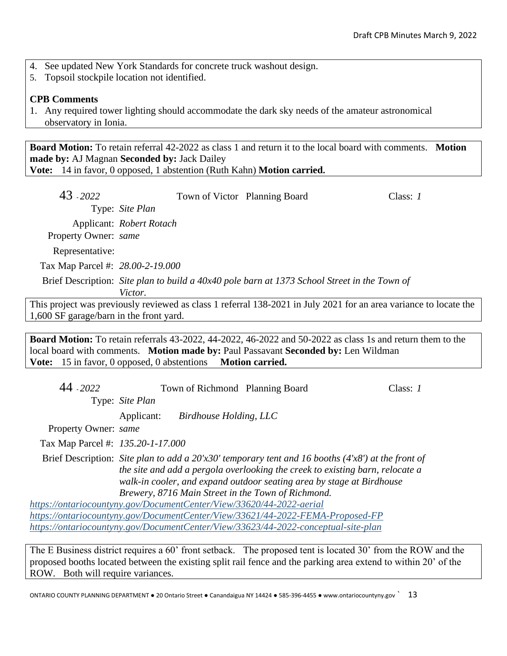- 4. See updated New York Standards for concrete truck washout design.
- 5. Topsoil stockpile location not identified.

## **CPB Comments**

1. Any required tower lighting should accommodate the dark sky needs of the amateur astronomical observatory in Ionia.

**Board Motion:** To retain referral 42-2022 as class 1 and return it to the local board with comments. **Motion made by:** AJ Magnan **Seconded by:** Jack Dailey **Vote:** 14 in favor, 0 opposed, 1 abstention (Ruth Kahn) **Motion carried.**

| 43 - 2022                        | Town of Victor Planning Board |                                                                                                                  | Class: $I$ |
|----------------------------------|-------------------------------|------------------------------------------------------------------------------------------------------------------|------------|
|                                  | Type: Site Plan               |                                                                                                                  |            |
|                                  | Applicant: Robert Rotach      |                                                                                                                  |            |
| Property Owner: same             |                               |                                                                                                                  |            |
| Representative:                  |                               |                                                                                                                  |            |
| Tax Map Parcel #: 28.00-2-19.000 |                               |                                                                                                                  |            |
|                                  |                               | Brief Description: Site plan to build a 40x40 pole barn at 1373 School Street in the Town of                     |            |
|                                  | Victor.                       |                                                                                                                  |            |
|                                  |                               | his project was previously reviewed as class 1 referral 138-2021 in July 2021 for an area variance to locate the |            |

This project was previously reviewed as class 1 referral 138-2021 in July 2021 for an area variance to locate th 1,600 SF garage/barn in the front yard.

**Board Motion:** To retain referrals 43-2022, 44-2022, 46-2022 and 50-2022 as class 1s and return them to the local board with comments. **Motion made by:** Paul Passavant **Seconded by:** Len Wildman **Vote:** 15 in favor, 0 opposed, 0 abstentions **Motion carried.**

| 44 - 2022                         | Town of Richmond Planning Board                                      |                                                                                                                                                                                                                                                                | Class: $1$ |
|-----------------------------------|----------------------------------------------------------------------|----------------------------------------------------------------------------------------------------------------------------------------------------------------------------------------------------------------------------------------------------------------|------------|
|                                   | Type: Site Plan                                                      |                                                                                                                                                                                                                                                                |            |
|                                   | Applicant:<br>Birdhouse Holding, LLC                                 |                                                                                                                                                                                                                                                                |            |
| Property Owner: same              |                                                                      |                                                                                                                                                                                                                                                                |            |
| Tax Map Parcel #: 135.20-1-17.000 |                                                                      |                                                                                                                                                                                                                                                                |            |
|                                   | Brewery, 8716 Main Street in the Town of Richmond.                   | Brief Description: Site plan to add a $20'x30'$ temporary tent and 16 booths (4'x8') at the front of<br>the site and add a pergola overlooking the creek to existing barn, relocate a<br>walk-in cooler, and expand outdoor seating area by stage at Birdhouse |            |
|                                   | https://ontariocountyny.gov/DocumentCenter/View/33620/44-2022-aerial |                                                                                                                                                                                                                                                                |            |
|                                   |                                                                      | https://ontariocountyny.gov/DocumentCenter/View/33621/44-2022-FEMA-Proposed-FP                                                                                                                                                                                 |            |
|                                   |                                                                      | https://ontariocountyny.gov/DocumentCenter/View/33623/44-2022-conceptual-site-plan                                                                                                                                                                             |            |
|                                   |                                                                      | The E Business district requires a 60' front setback. The proposed tent is located 30' from the ROW and the                                                                                                                                                    |            |

The E Business district requires a 60' front setback. The proposed tent is located 30' from the ROW and the proposed booths located between the existing split rail fence and the parking area extend to within 20' of the ROW. Both will require variances.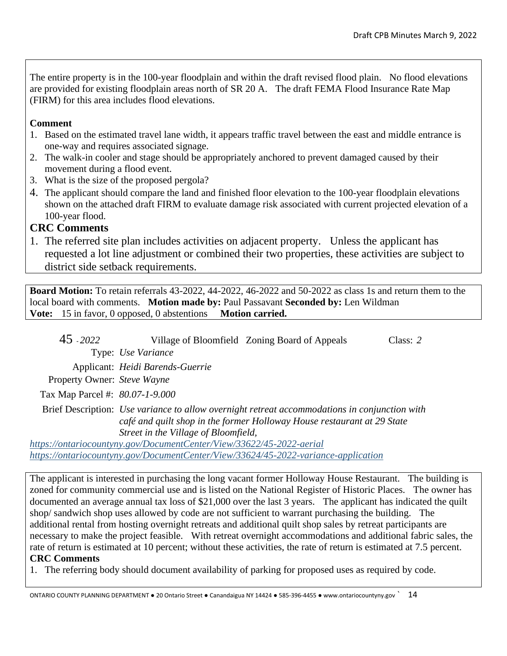The entire property is in the 100-year floodplain and within the draft revised flood plain. No flood elevations are provided for existing floodplain areas north of SR 20 A. The draft FEMA Flood Insurance Rate Map (FIRM) for this area includes flood elevations.

# **Comment**

- 1. Based on the estimated travel lane width, it appears traffic travel between the east and middle entrance is one-way and requires associated signage.
- 2. The walk-in cooler and stage should be appropriately anchored to prevent damaged caused by their movement during a flood event.
- 3. What is the size of the proposed pergola?
- 4. The applicant should compare the land and finished floor elevation to the 100-year floodplain elevations shown on the attached draft FIRM to evaluate damage risk associated with current projected elevation of a 100-year flood.

# **CRC Comments**

1. The referred site plan includes activities on adjacent property. Unless the applicant has requested a lot line adjustment or combined their two properties, these activities are subject to district side setback requirements.

**Board Motion:** To retain referrals 43-2022, 44-2022, 46-2022 and 50-2022 as class 1s and return them to the local board with comments. **Motion made by:** Paul Passavant **Seconded by:** Len Wildman **Vote:** 15 in favor, 0 opposed, 0 abstentions **Motion carried.**

45 - *2022* Village of Bloomfield Zoning Board of Appeals Class: *2* Type: *Use Variance*

Applicant: *Heidi Barends-Guerrie*

Property Owner: *Steve Wayne*

Tax Map Parcel #: *80.07-1-9.000*

Brief Description: *Use variance to allow overnight retreat accommodations in conjunction with café and quilt shop in the former Holloway House restaurant at 29 State Street in the Village of Bloomfield,*

*<https://ontariocountyny.gov/DocumentCenter/View/33622/45-2022-aerial> <https://ontariocountyny.gov/DocumentCenter/View/33624/45-2022-variance-application>*

The applicant is interested in purchasing the long vacant former Holloway House Restaurant. The building is zoned for community commercial use and is listed on the National Register of Historic Places. The owner has documented an average annual tax loss of \$21,000 over the last 3 years. The applicant has indicated the quilt shop/ sandwich shop uses allowed by code are not sufficient to warrant purchasing the building. The additional rental from hosting overnight retreats and additional quilt shop sales by retreat participants are necessary to make the project feasible. With retreat overnight accommodations and additional fabric sales, the rate of return is estimated at 10 percent; without these activities, the rate of return is estimated at 7.5 percent. **CRC Comments**

1. The referring body should document availability of parking for proposed uses as required by code.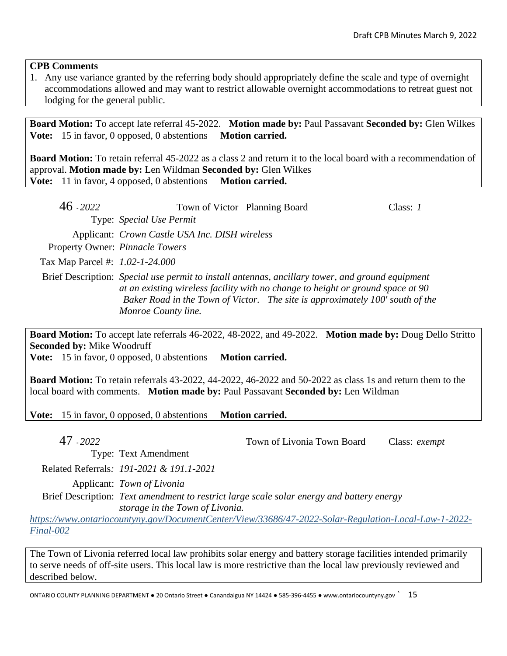# **CPB Comments**

1. Any use variance granted by the referring body should appropriately define the scale and type of overnight accommodations allowed and may want to restrict allowable overnight accommodations to retreat guest not lodging for the general public.

**Board Motion:** To accept late referral 45-2022. **Motion made by:** Paul Passavant **Seconded by:** Glen Wilkes **Vote:** 15 in favor, 0 opposed, 0 abstentions **Motion carried.** 

**Board Motion:** To retain referral 45-2022 as a class 2 and return it to the local board with a recommendation of approval. **Motion made by:** Len Wildman **Seconded by:** Glen Wilkes **Vote:** 11 in favor, 4 opposed, 0 abstentions **Motion carried.**

| $46 - 2022$                     | Town of Victor Planning Board                  |                                                                                                                                                                                                                                                                      | Class: $I$ |
|---------------------------------|------------------------------------------------|----------------------------------------------------------------------------------------------------------------------------------------------------------------------------------------------------------------------------------------------------------------------|------------|
|                                 | Type: Special Use Permit                       |                                                                                                                                                                                                                                                                      |            |
|                                 | Applicant: Crown Castle USA Inc. DISH wireless |                                                                                                                                                                                                                                                                      |            |
|                                 | Property Owner: Pinnacle Towers                |                                                                                                                                                                                                                                                                      |            |
| Tax Map Parcel #: 1.02-1-24.000 |                                                |                                                                                                                                                                                                                                                                      |            |
|                                 | Monroe County line.                            | Brief Description: Special use permit to install antennas, ancillary tower, and ground equipment<br>at an existing wireless facility with no change to height or ground space at 90<br>Baker Road in the Town of Victor. The site is approximately 100' south of the |            |

**Board Motion:** To accept late referrals 46-2022, 48-2022, and 49-2022. **Motion made by:** Doug Dello Stritto **Seconded by:** Mike Woodruff

**Vote:** 15 in favor, 0 opposed, 0 abstentions **Motion carried.**

**Board Motion:** To retain referrals 43-2022, 44-2022, 46-2022 and 50-2022 as class 1s and return them to the local board with comments. **Motion made by:** Paul Passavant **Seconded by:** Len Wildman

**Vote:** 15 in favor, 0 opposed, 0 abstentions **Motion carried.** 

47 - *2022* Town of Livonia Town Board Class: *exempt*

Type: Text Amendment

Related Referrals*: 191-2021 & 191.1-2021*

Applicant: *Town of Livonia*

Brief Description: *Text amendment to restrict large scale solar energy and battery energy storage in the Town of Livonia.*

*[https://www.ontariocountyny.gov/DocumentCenter/View/33686/47-2022-Solar-Regulation-Local-Law-1-2022-](https://www.ontariocountyny.gov/DocumentCenter/View/33686/47-2022-Solar-Regulation-Local-Law-1-2022-Final-002) [Final-002](https://www.ontariocountyny.gov/DocumentCenter/View/33686/47-2022-Solar-Regulation-Local-Law-1-2022-Final-002)*

The Town of Livonia referred local law prohibits solar energy and battery storage facilities intended primarily to serve needs of off-site users. This local law is more restrictive than the local law previously reviewed and described below.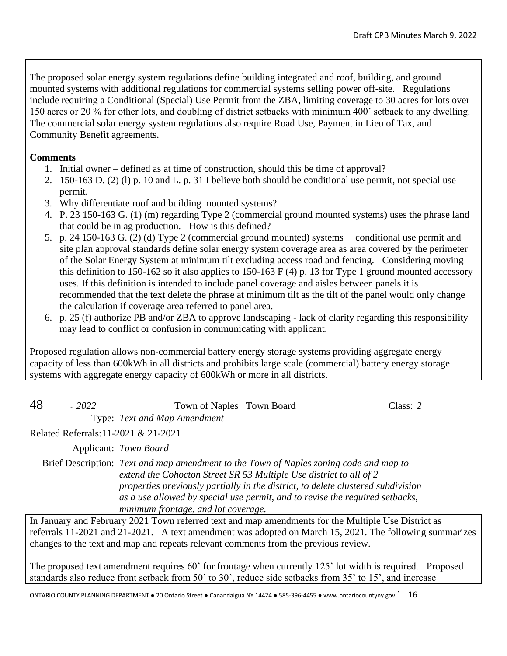The proposed solar energy system regulations define building integrated and roof, building, and ground mounted systems with additional regulations for commercial systems selling power off-site. Regulations include requiring a Conditional (Special) Use Permit from the ZBA, limiting coverage to 30 acres for lots over 150 acres or 20 % for other lots, and doubling of district setbacks with minimum 400' setback to any dwelling. The commercial solar energy system regulations also require Road Use, Payment in Lieu of Tax, and Community Benefit agreements.

# **Comments**

- 1. Initial owner defined as at time of construction, should this be time of approval?
- 2. 150-163 D. (2) (l) p. 10 and L. p. 31 I believe both should be conditional use permit, not special use permit.
- 3. Why differentiate roof and building mounted systems?
- 4. P. 23 150-163 G. (1) (m) regarding Type 2 (commercial ground mounted systems) uses the phrase land that could be in ag production. How is this defined?
- 5. p. 24 150-163 G. (2) (d) Type 2 (commercial ground mounted) systems conditional use permit and site plan approval standards define solar energy system coverage area as area covered by the perimeter of the Solar Energy System at minimum tilt excluding access road and fencing. Considering moving this definition to 150-162 so it also applies to 150-163 F (4) p. 13 for Type 1 ground mounted accessory uses. If this definition is intended to include panel coverage and aisles between panels it is recommended that the text delete the phrase at minimum tilt as the tilt of the panel would only change the calculation if coverage area referred to panel area.
- 6. p. 25 (f) authorize PB and/or ZBA to approve landscaping lack of clarity regarding this responsibility may lead to conflict or confusion in communicating with applicant.

Proposed regulation allows non-commercial battery energy storage systems providing aggregate energy capacity of less than 600kWh in all districts and prohibits large scale (commercial) battery energy storage systems with aggregate energy capacity of 600kWh or more in all districts.

| 48 | $-2022$ | Town of Naples Town Board                              | Class: 2 |
|----|---------|--------------------------------------------------------|----------|
|    |         | Type: Text and Map Amendment                           |          |
|    |         | $D_{1}1_{2}1_{3}D_{1}2_{3}1_{3}11_{0}001_{0}01_{0001}$ |          |

Related Referrals:11-2021 & 21-2021

Applicant: *Town Board*

Brief Description: *Text and map amendment to the Town of Naples zoning code and map to extend the Cohocton Street SR 53 Multiple Use district to all of 2 properties previously partially in the district, to delete clustered subdivision as a use allowed by special use permit, and to revise the required setbacks, minimum frontage, and lot coverage.*

In January and February 2021 Town referred text and map amendments for the Multiple Use District as referrals 11-2021 and 21-2021. A text amendment was adopted on March 15, 2021. The following summarizes changes to the text and map and repeats relevant comments from the previous review.

The proposed text amendment requires 60' for frontage when currently 125' lot width is required. Proposed standards also reduce front setback from 50' to 30', reduce side setbacks from 35' to 15', and increase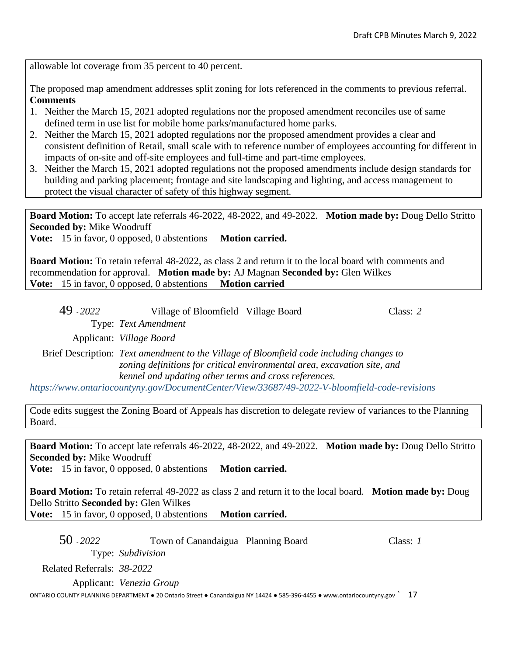allowable lot coverage from 35 percent to 40 percent.

The proposed map amendment addresses split zoning for lots referenced in the comments to previous referral. **Comments**

- 1. Neither the March 15, 2021 adopted regulations nor the proposed amendment reconciles use of same defined term in use list for mobile home parks/manufactured home parks.
- 2. Neither the March 15, 2021 adopted regulations nor the proposed amendment provides a clear and consistent definition of Retail, small scale with to reference number of employees accounting for different in impacts of on-site and off-site employees and full-time and part-time employees.
- 3. Neither the March 15, 2021 adopted regulations not the proposed amendments include design standards for building and parking placement; frontage and site landscaping and lighting, and access management to protect the visual character of safety of this highway segment.

**Board Motion:** To accept late referrals 46-2022, 48-2022, and 49-2022. **Motion made by:** Doug Dello Stritto **Seconded by:** Mike Woodruff

**Vote:** 15 in favor, 0 opposed, 0 abstentions **Motion carried.** 

**Board Motion:** To retain referral 48-2022, as class 2 and return it to the local board with comments and recommendation for approval. **Motion made by:** AJ Magnan **Seconded by:** Glen Wilkes **Vote:** 15 in favor, 0 opposed, 0 abstentions **Motion carried**

49 - *2022* Village of Bloomfield Village Board Class: *2* Type: *Text Amendment*

Applicant: *Village Board*

Brief Description: *Text amendment to the Village of Bloomfield code including changes to zoning definitions for critical environmental area, excavation site, and kennel and updating other terms and cross references.*

*<https://www.ontariocountyny.gov/DocumentCenter/View/33687/49-2022-V-bloomfield-code-revisions>*

Code edits suggest the Zoning Board of Appeals has discretion to delegate review of variances to the Planning Board.

**Board Motion:** To accept late referrals 46-2022, 48-2022, and 49-2022. **Motion made by:** Doug Dello Stritto **Seconded by:** Mike Woodruff

**Vote:** 15 in favor, 0 opposed, 0 abstentions **Motion carried.** 

**Board Motion:** To retain referral 49-2022 as class 2 and return it to the local board. **Motion made by:** Doug Dello Stritto **Seconded by:** Glen Wilkes **Vote:** 15 in favor, 0 opposed, 0 abstentions **Motion carried.**

50 - *2022* Town of Canandaigua Planning Board Class: *1* Type: *Subdivision* Related Referrals: *38-2022* Applicant: *Venezia Group*

ONTARIO COUNTY PLANNING DEPARTMENT ● 20 Ontario Street ● Canandaigua NY 14424 ● 585-396-4455 ● www.ontariocountyny.gov ` 17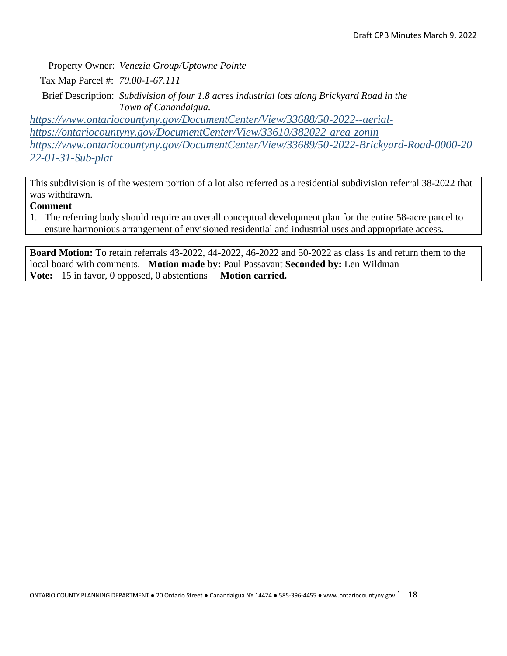Property Owner: *Venezia Group/Uptowne Pointe*

Tax Map Parcel #: *70.00-1-67.111*

Brief Description: *Subdivision of four 1.8 acres industrial lots along Brickyard Road in the Town of Canandaigua.*

*[https://www.ontariocountyny.gov/DocumentCenter/View/33688/50-2022--aerial](https://www.ontariocountyny.gov/DocumentCenter/View/33688/50-2022--aerial-)<https://ontariocountyny.gov/DocumentCenter/View/33610/382022-area-zonin> [https://www.ontariocountyny.gov/DocumentCenter/View/33689/50-2022-Brickyard-Road-0000-20](https://www.ontariocountyny.gov/DocumentCenter/View/33689/50-2022-Brickyard-Road-0000-2022-01-31-Sub-plat) [22-01-31-Sub-plat](https://www.ontariocountyny.gov/DocumentCenter/View/33689/50-2022-Brickyard-Road-0000-2022-01-31-Sub-plat)*

This subdivision is of the western portion of a lot also referred as a residential subdivision referral 38-2022 that was withdrawn.

# **Comment**

1. The referring body should require an overall conceptual development plan for the entire 58-acre parcel to ensure harmonious arrangement of envisioned residential and industrial uses and appropriate access.

**Board Motion:** To retain referrals 43-2022, 44-2022, 46-2022 and 50-2022 as class 1s and return them to the local board with comments. **Motion made by:** Paul Passavant **Seconded by:** Len Wildman **Vote:** 15 in favor, 0 opposed, 0 abstentions **Motion carried.**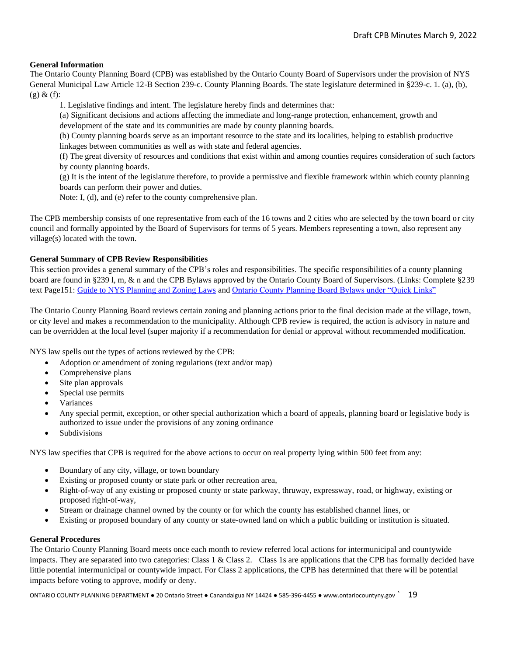## **General Information**

The Ontario County Planning Board (CPB) was established by the Ontario County Board of Supervisors under the provision of NYS General Municipal Law Article 12-B Section 239-c. County Planning Boards. The state legislature determined in §239-c. 1. (a), (b),  $(g)$  &  $(f)$ :

1. Legislative findings and intent. The legislature hereby finds and determines that:

(a) Significant decisions and actions affecting the immediate and long-range protection, enhancement, growth and development of the state and its communities are made by county planning boards.

(b) County planning boards serve as an important resource to the state and its localities, helping to establish productive linkages between communities as well as with state and federal agencies.

(f) The great diversity of resources and conditions that exist within and among counties requires consideration of such factors by county planning boards.

(g) It is the intent of the legislature therefore, to provide a permissive and flexible framework within which county planning boards can perform their power and duties.

Note: I, (d), and (e) refer to the county comprehensive plan.

The CPB membership consists of one representative from each of the 16 towns and 2 cities who are selected by the town board or city council and formally appointed by the Board of Supervisors for terms of 5 years. Members representing a town, also represent any village(s) located with the town.

## **General Summary of CPB Review Responsibilities**

This section provides a general summary of the CPB's roles and responsibilities. The specific responsibilities of a county planning board are found in §239 l, m, & n and the CPB Bylaws approved by the Ontario County Board of Supervisors. (Links: Complete §239 text Page151: [Guide to NYS Planning and Zoning Laws](http://www.dos.ny.gov/lg/publications/Guide_to_Planning_and_Zoning_Laws.pdf) an[d Ontario County Planning Board Bylaws under "Quick Links"](http://www.co.ontario.ny.us/index.aspx?nid=516)

The Ontario County Planning Board reviews certain zoning and planning actions prior to the final decision made at the village, town, or city level and makes a recommendation to the municipality. Although CPB review is required, the action is advisory in nature and can be overridden at the local level (super majority if a recommendation for denial or approval without recommended modification.

NYS law spells out the types of actions reviewed by the CPB:

- Adoption or amendment of zoning regulations (text and/or map)
- Comprehensive plans
- Site plan approvals
- Special use permits
- **Variances**
- Any special permit, exception, or other special authorization which a board of appeals, planning board or legislative body is authorized to issue under the provisions of any zoning ordinance
- **Subdivisions**

NYS law specifies that CPB is required for the above actions to occur on real property lying within 500 feet from any:

- Boundary of any city, village, or town boundary
- Existing or proposed county or state park or other recreation area,
- Right-of-way of any existing or proposed county or state parkway, thruway, expressway, road, or highway, existing or proposed right-of-way,
- Stream or drainage channel owned by the county or for which the county has established channel lines, or
- Existing or proposed boundary of any county or state-owned land on which a public building or institution is situated.

### **General Procedures**

The Ontario County Planning Board meets once each month to review referred local actions for intermunicipal and countywide impacts. They are separated into two categories: Class 1 & Class 2. Class 1s are applications that the CPB has formally decided have little potential intermunicipal or countywide impact. For Class 2 applications, the CPB has determined that there will be potential impacts before voting to approve, modify or deny.

ONTARIO COUNTY PLANNING DEPARTMENT ● 20 Ontario Street ● Canandaigua NY 14424 ● 585-396-4455 ● www.ontariocountyny.gov ` 19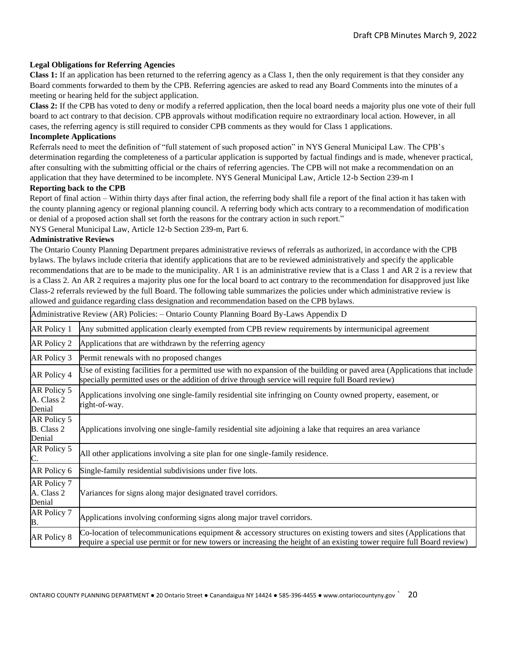## **Legal Obligations for Referring Agencies**

**Class 1:** If an application has been returned to the referring agency as a Class 1, then the only requirement is that they consider any Board comments forwarded to them by the CPB. Referring agencies are asked to read any Board Comments into the minutes of a meeting or hearing held for the subject application.

**Class 2:** If the CPB has voted to deny or modify a referred application, then the local board needs a majority plus one vote of their full board to act contrary to that decision. CPB approvals without modification require no extraordinary local action. However, in all cases, the referring agency is still required to consider CPB comments as they would for Class 1 applications. **Incomplete Applications** 

Referrals need to meet the definition of "full statement of such proposed action" in NYS General Municipal Law. The CPB's determination regarding the completeness of a particular application is supported by factual findings and is made, whenever practical, after consulting with the submitting official or the chairs of referring agencies. The CPB will not make a recommendation on an application that they have determined to be incomplete. NYS General Municipal Law, Article 12-b Section 239-m I

### **Reporting back to the CPB**

Report of final action – Within thirty days after final action, the referring body shall file a report of the final action it has taken with the county planning agency or regional planning council. A referring body which acts contrary to a recommendation of modification or denial of a proposed action shall set forth the reasons for the contrary action in such report."

NYS General Municipal Law, Article 12-b Section 239-m, Part 6.

### **Administrative Reviews**

The Ontario County Planning Department prepares administrative reviews of referrals as authorized, in accordance with the CPB bylaws. The bylaws include criteria that identify applications that are to be reviewed administratively and specify the applicable recommendations that are to be made to the municipality. AR 1 is an administrative review that is a Class 1 and AR 2 is a review that is a Class 2. An AR 2 requires a majority plus one for the local board to act contrary to the recommendation for disapproved just like Class-2 referrals reviewed by the full Board. The following table summarizes the policies under which administrative review is allowed and guidance regarding class designation and recommendation based on the CPB bylaws.

|                                     | Administrative Review (AR) Policies: - Ontario County Planning Board By-Laws Appendix D                                                                                                                                                       |
|-------------------------------------|-----------------------------------------------------------------------------------------------------------------------------------------------------------------------------------------------------------------------------------------------|
| AR Policy 1                         | Any submitted application clearly exempted from CPB review requirements by intermunicipal agreement                                                                                                                                           |
| AR Policy 2                         | Applications that are withdrawn by the referring agency                                                                                                                                                                                       |
| AR Policy 3                         | Permit renewals with no proposed changes                                                                                                                                                                                                      |
| AR Policy 4                         | Use of existing facilities for a permitted use with no expansion of the building or paved area (Applications that include<br>specially permitted uses or the addition of drive through service will require full Board review)                |
| AR Policy 5<br>A. Class 2<br>Denial | Applications involving one single-family residential site infringing on County owned property, easement, or<br>right-of-way.                                                                                                                  |
| AR Policy 5<br>B. Class 2<br>Denial | Applications involving one single-family residential site adjoining a lake that requires an area variance                                                                                                                                     |
| AR Policy 5<br>C.                   | All other applications involving a site plan for one single-family residence.                                                                                                                                                                 |
| AR Policy 6                         | Single-family residential subdivisions under five lots.                                                                                                                                                                                       |
| AR Policy 7<br>A. Class 2<br>Denial | Variances for signs along major designated travel corridors.                                                                                                                                                                                  |
| AR Policy 7<br>B.                   | Applications involving conforming signs along major travel corridors.                                                                                                                                                                         |
| AR Policy 8                         | Co-location of telecommunications equipment & accessory structures on existing towers and sites (Applications that<br>require a special use permit or for new towers or increasing the height of an existing tower require full Board review) |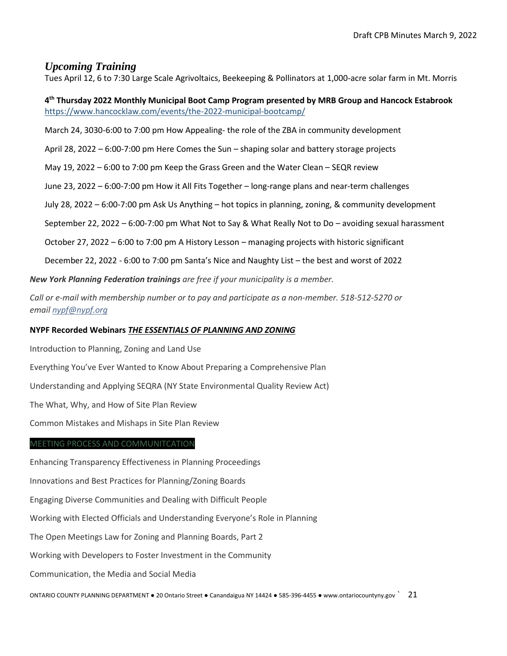# *Upcoming Training*

Tues April 12, 6 to 7:30 Large Scale Agrivoltaics, Beekeeping & Pollinators at 1,000-acre solar farm in Mt. Morris

## **4 th Thursday 2022 Monthly Municipal Boot Camp Program presented by MRB Group and Hancock Estabrook** <https://www.hancocklaw.com/events/the-2022-municipal-bootcamp/>

March 24, 3030-6:00 to 7:00 pm How Appealing- the role of the ZBA in community development

April 28, 2022 – 6:00-7:00 pm Here Comes the Sun – shaping solar and battery storage projects

May 19, 2022 – 6:00 to 7:00 pm Keep the Grass Green and the Water Clean – SEQR review

June 23, 2022 – 6:00-7:00 pm How it All Fits Together – long-range plans and near-term challenges

July 28, 2022 – 6:00-7:00 pm Ask Us Anything – hot topics in planning, zoning, & community development

September 22, 2022 – 6:00-7:00 pm What Not to Say & What Really Not to Do – avoiding sexual harassment

October 27, 2022 – 6:00 to 7:00 pm A History Lesson – managing projects with historic significant

December 22, 2022 - 6:00 to 7:00 pm Santa's Nice and Naughty List – the best and worst of 2022

*New York Planning Federation trainings are free if your municipality is a member.* 

*Call or e-mail with membership number or to pay and participate as a non-member. 518-512-5270 or email [nypf@nypf.org](mailto:nypf@nypf.org)*

## **NYPF Recorded Webinars** *THE ESSENTIALS OF PLANNING AND ZONING*

Introduction to Planning, Zoning and Land Use

Everything You've Ever Wanted to Know About Preparing a Comprehensive Plan

Understanding and Applying SEQRA (NY State Environmental Quality Review Act)

The What, Why, and How of Site Plan Review

Common Mistakes and Mishaps in Site Plan Review

## MEETING PROCESS AND COMMUNITCATION

Enhancing Transparency Effectiveness in Planning Proceedings Innovations and Best Practices for Planning/Zoning Boards Engaging Diverse Communities and Dealing with Difficult People Working with Elected Officials and Understanding Everyone's Role in Planning The Open Meetings Law for Zoning and Planning Boards, Part 2 Working with Developers to Foster Investment in the Community Communication, the Media and Social Media